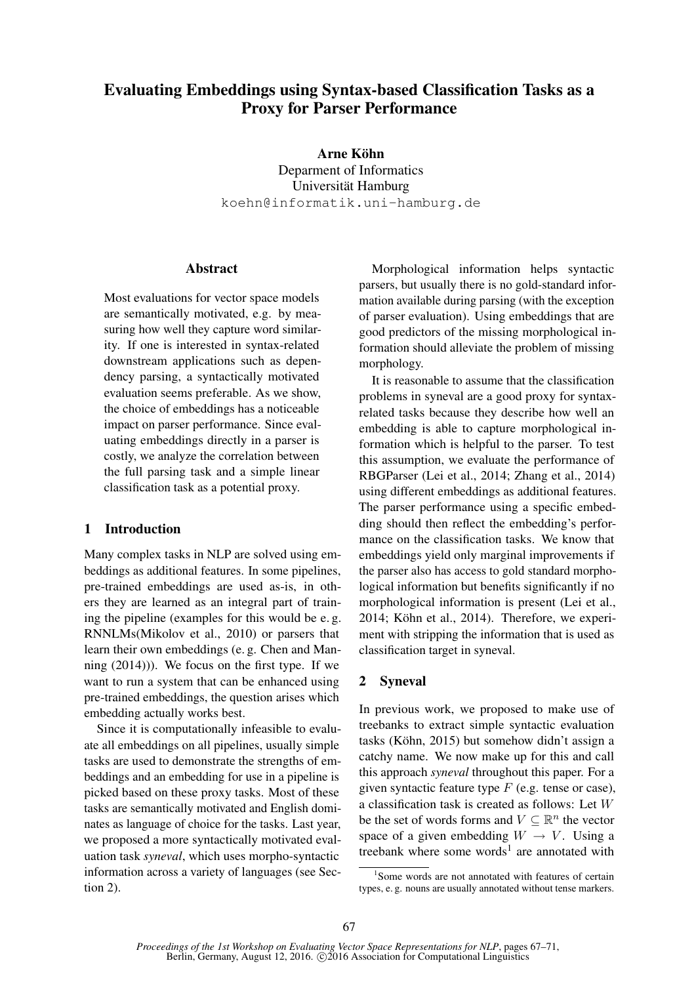# Evaluating Embeddings using Syntax-based Classification Tasks as a Proxy for Parser Performance

Arne Köhn Deparment of Informatics Universität Hamburg koehn@informatik.uni-hamburg.de

# Abstract

Most evaluations for vector space models are semantically motivated, e.g. by measuring how well they capture word similarity. If one is interested in syntax-related downstream applications such as dependency parsing, a syntactically motivated evaluation seems preferable. As we show, the choice of embeddings has a noticeable impact on parser performance. Since evaluating embeddings directly in a parser is costly, we analyze the correlation between the full parsing task and a simple linear classification task as a potential proxy.

# 1 Introduction

Many complex tasks in NLP are solved using embeddings as additional features. In some pipelines, pre-trained embeddings are used as-is, in others they are learned as an integral part of training the pipeline (examples for this would be e. g. RNNLMs(Mikolov et al., 2010) or parsers that learn their own embeddings (e. g. Chen and Manning (2014))). We focus on the first type. If we want to run a system that can be enhanced using pre-trained embeddings, the question arises which embedding actually works best.

Since it is computationally infeasible to evaluate all embeddings on all pipelines, usually simple tasks are used to demonstrate the strengths of embeddings and an embedding for use in a pipeline is picked based on these proxy tasks. Most of these tasks are semantically motivated and English dominates as language of choice for the tasks. Last year, we proposed a more syntactically motivated evaluation task *syneval*, which uses morpho-syntactic information across a variety of languages (see Section 2).

Morphological information helps syntactic parsers, but usually there is no gold-standard information available during parsing (with the exception of parser evaluation). Using embeddings that are good predictors of the missing morphological information should alleviate the problem of missing morphology.

It is reasonable to assume that the classification problems in syneval are a good proxy for syntaxrelated tasks because they describe how well an embedding is able to capture morphological information which is helpful to the parser. To test this assumption, we evaluate the performance of RBGParser (Lei et al., 2014; Zhang et al., 2014) using different embeddings as additional features. The parser performance using a specific embedding should then reflect the embedding's performance on the classification tasks. We know that embeddings yield only marginal improvements if the parser also has access to gold standard morphological information but benefits significantly if no morphological information is present (Lei et al., 2014; Köhn et al., 2014). Therefore, we experiment with stripping the information that is used as classification target in syneval.

#### 2 Syneval

In previous work, we proposed to make use of treebanks to extract simple syntactic evaluation tasks (Köhn, 2015) but somehow didn't assign a catchy name. We now make up for this and call this approach *syneval* throughout this paper. For a given syntactic feature type  $F$  (e.g. tense or case), a classification task is created as follows: Let W be the set of words forms and  $V \subseteq \mathbb{R}^n$  the vector space of a given embedding  $W \rightarrow V$ . Using a treebank where some words<sup>1</sup> are annotated with

<sup>1</sup> Some words are not annotated with features of certain types, e. g. nouns are usually annotated without tense markers.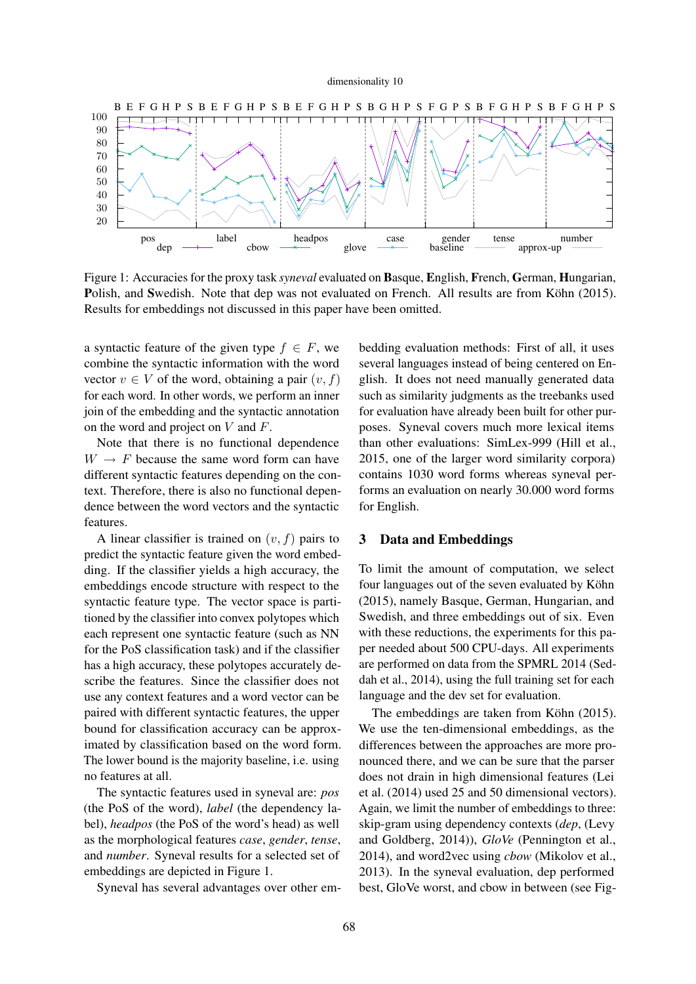#### dimensionality 10



Figure 1: Accuracies for the proxy task *syneval* evaluated on Basque, English, French, German, Hungarian, Polish, and Swedish. Note that dep was not evaluated on French. All results are from Köhn (2015). Results for embeddings not discussed in this paper have been omitted.

a syntactic feature of the given type  $f \in F$ , we combine the syntactic information with the word vector  $v \in V$  of the word, obtaining a pair  $(v, f)$ for each word. In other words, we perform an inner join of the embedding and the syntactic annotation on the word and project on  $V$  and  $F$ .

Note that there is no functional dependence  $W \rightarrow F$  because the same word form can have different syntactic features depending on the context. Therefore, there is also no functional dependence between the word vectors and the syntactic features.

A linear classifier is trained on  $(v, f)$  pairs to predict the syntactic feature given the word embedding. If the classifier yields a high accuracy, the embeddings encode structure with respect to the syntactic feature type. The vector space is partitioned by the classifier into convex polytopes which each represent one syntactic feature (such as NN for the PoS classification task) and if the classifier has a high accuracy, these polytopes accurately describe the features. Since the classifier does not use any context features and a word vector can be paired with different syntactic features, the upper bound for classification accuracy can be approximated by classification based on the word form. The lower bound is the majority baseline, i.e. using no features at all.

The syntactic features used in syneval are: *pos* (the PoS of the word), *label* (the dependency label), *headpos* (the PoS of the word's head) as well as the morphological features *case*, *gender*, *tense*, and *number*. Syneval results for a selected set of embeddings are depicted in Figure 1.

Syneval has several advantages over other em-

bedding evaluation methods: First of all, it uses several languages instead of being centered on English. It does not need manually generated data such as similarity judgments as the treebanks used for evaluation have already been built for other purposes. Syneval covers much more lexical items than other evaluations: SimLex-999 (Hill et al., 2015, one of the larger word similarity corpora) contains 1030 word forms whereas syneval performs an evaluation on nearly 30.000 word forms for English.

### 3 Data and Embeddings

To limit the amount of computation, we select four languages out of the seven evaluated by Köhn (2015), namely Basque, German, Hungarian, and Swedish, and three embeddings out of six. Even with these reductions, the experiments for this paper needed about 500 CPU-days. All experiments are performed on data from the SPMRL 2014 (Seddah et al., 2014), using the full training set for each language and the dev set for evaluation.

The embeddings are taken from Köhn (2015). We use the ten-dimensional embeddings, as the differences between the approaches are more pronounced there, and we can be sure that the parser does not drain in high dimensional features (Lei et al. (2014) used 25 and 50 dimensional vectors). Again, we limit the number of embeddings to three: skip-gram using dependency contexts (*dep*, (Levy and Goldberg, 2014)), *GloVe* (Pennington et al., 2014), and word2vec using *cbow* (Mikolov et al., 2013). In the syneval evaluation, dep performed best, GloVe worst, and cbow in between (see Fig-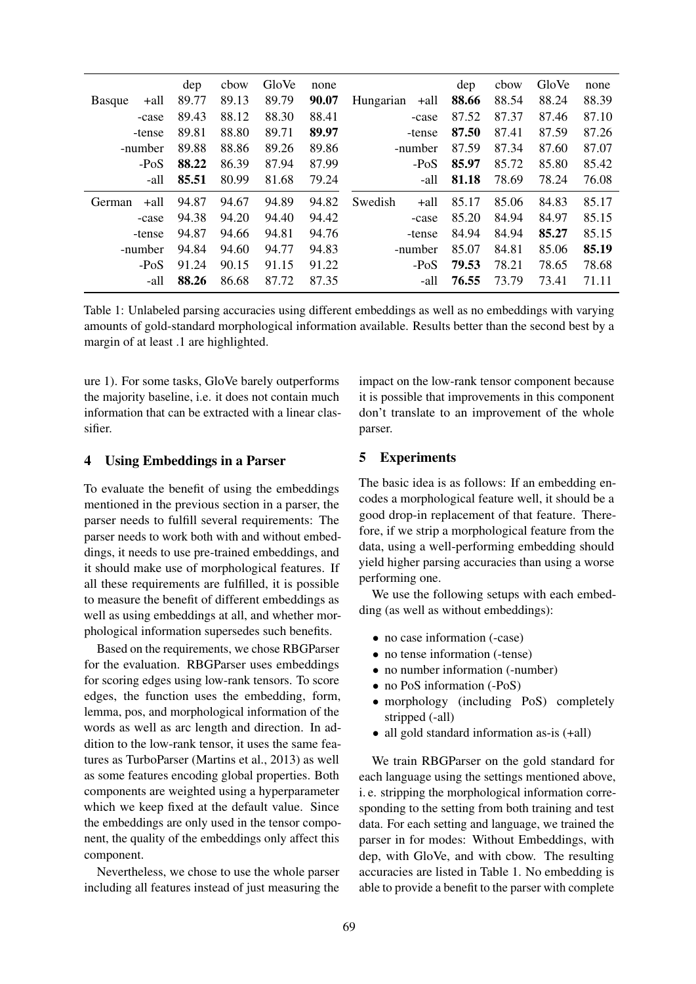|               |       | dep   | cbow  | GloVe | none  |           |       | dep   | cbow  | GloVe | none  |
|---------------|-------|-------|-------|-------|-------|-----------|-------|-------|-------|-------|-------|
| <b>Basque</b> | +all  | 89.77 | 89.13 | 89.79 | 90.07 | Hungarian | +all  | 88.66 | 88.54 | 88.24 | 88.39 |
|               | -case | 89.43 | 88.12 | 88.30 | 88.41 |           | -case | 87.52 | 87.37 | 87.46 | 87.10 |
| -tense        |       | 89.81 | 88.80 | 89.71 | 89.97 | -tense    |       | 87.50 | 87.41 | 87.59 | 87.26 |
| -number       |       | 89.88 | 88.86 | 89.26 | 89.86 | -number   |       | 87.59 | 87.34 | 87.60 | 87.07 |
| $-PoS$        |       | 88.22 | 86.39 | 87.94 | 87.99 | $-PoS$    |       | 85.97 | 85.72 | 85.80 | 85.42 |
| -all          |       | 85.51 | 80.99 | 81.68 | 79.24 |           | -all  | 81.18 | 78.69 | 78.24 | 76.08 |
| German        | +all  | 94.87 | 94.67 | 94.89 | 94.82 | Swedish   | +all  | 85.17 | 85.06 | 84.83 | 85.17 |
|               | -case | 94.38 | 94.20 | 94.40 | 94.42 |           | -case | 85.20 | 84.94 | 84.97 | 85.15 |
| -tense        |       | 94.87 | 94.66 | 94.81 | 94.76 | -tense    |       | 84.94 | 84.94 | 85.27 | 85.15 |
| -number       |       | 94.84 | 94.60 | 94.77 | 94.83 | -number   |       | 85.07 | 84.81 | 85.06 | 85.19 |
| $-PoS$        |       | 91.24 | 90.15 | 91.15 | 91.22 | $-PoS$    |       | 79.53 | 78.21 | 78.65 | 78.68 |
| -all          |       | 88.26 | 86.68 | 87.72 | 87.35 |           | -all  | 76.55 | 73.79 | 73.41 | 71.11 |
|               |       |       |       |       |       |           |       |       |       |       |       |

Table 1: Unlabeled parsing accuracies using different embeddings as well as no embeddings with varying amounts of gold-standard morphological information available. Results better than the second best by a margin of at least .1 are highlighted.

ure 1). For some tasks, GloVe barely outperforms the majority baseline, i.e. it does not contain much information that can be extracted with a linear classifier.

# 4 Using Embeddings in a Parser

To evaluate the benefit of using the embeddings mentioned in the previous section in a parser, the parser needs to fulfill several requirements: The parser needs to work both with and without embeddings, it needs to use pre-trained embeddings, and it should make use of morphological features. If all these requirements are fulfilled, it is possible to measure the benefit of different embeddings as well as using embeddings at all, and whether morphological information supersedes such benefits.

Based on the requirements, we chose RBGParser for the evaluation. RBGParser uses embeddings for scoring edges using low-rank tensors. To score edges, the function uses the embedding, form, lemma, pos, and morphological information of the words as well as arc length and direction. In addition to the low-rank tensor, it uses the same features as TurboParser (Martins et al., 2013) as well as some features encoding global properties. Both components are weighted using a hyperparameter which we keep fixed at the default value. Since the embeddings are only used in the tensor component, the quality of the embeddings only affect this component.

Nevertheless, we chose to use the whole parser including all features instead of just measuring the impact on the low-rank tensor component because it is possible that improvements in this component don't translate to an improvement of the whole parser.

# 5 Experiments

The basic idea is as follows: If an embedding encodes a morphological feature well, it should be a good drop-in replacement of that feature. Therefore, if we strip a morphological feature from the data, using a well-performing embedding should yield higher parsing accuracies than using a worse performing one.

We use the following setups with each embedding (as well as without embeddings):

- no case information (-case)
- no tense information (-tense)
- no number information (-number)
- no PoS information (-PoS)
- morphology (including PoS) completely stripped (-all)
- all gold standard information as-is  $(+all)$

We train RBGParser on the gold standard for each language using the settings mentioned above, i. e. stripping the morphological information corresponding to the setting from both training and test data. For each setting and language, we trained the parser in for modes: Without Embeddings, with dep, with GloVe, and with cbow. The resulting accuracies are listed in Table 1. No embedding is able to provide a benefit to the parser with complete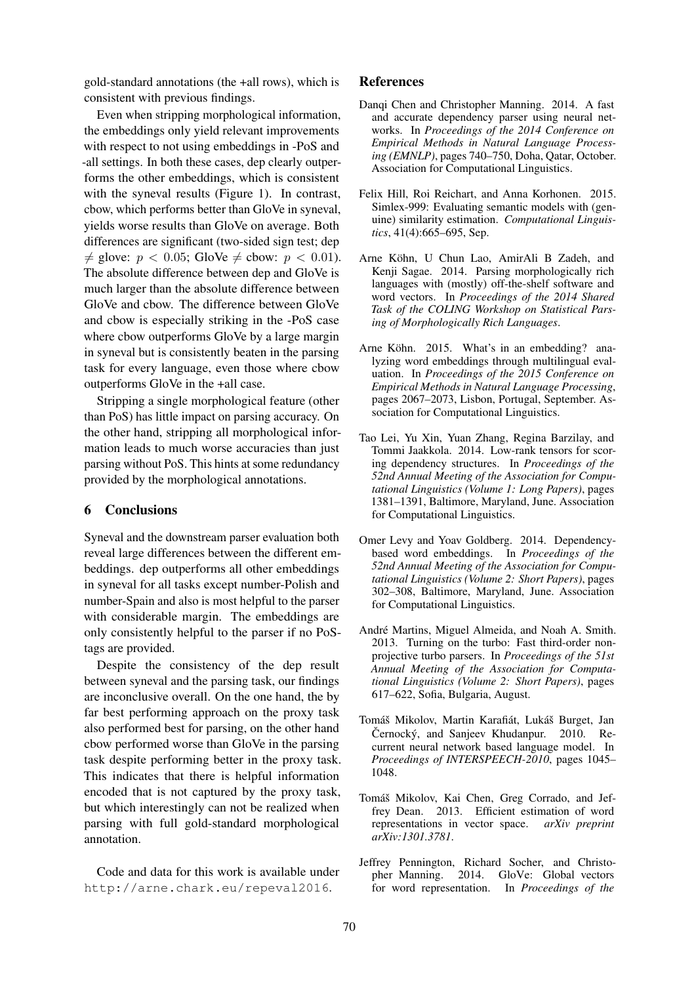gold-standard annotations (the +all rows), which is consistent with previous findings.

Even when stripping morphological information, the embeddings only yield relevant improvements with respect to not using embeddings in -PoS and -all settings. In both these cases, dep clearly outperforms the other embeddings, which is consistent with the syneval results (Figure 1). In contrast, cbow, which performs better than GloVe in syneval, yields worse results than GloVe on average. Both differences are significant (two-sided sign test; dep  $\neq$  glove:  $p < 0.05$ ; GloVe  $\neq$  cbow:  $p < 0.01$ ). The absolute difference between dep and GloVe is much larger than the absolute difference between GloVe and cbow. The difference between GloVe and cbow is especially striking in the -PoS case where cbow outperforms GloVe by a large margin in syneval but is consistently beaten in the parsing task for every language, even those where cbow outperforms GloVe in the +all case.

Stripping a single morphological feature (other than PoS) has little impact on parsing accuracy. On the other hand, stripping all morphological information leads to much worse accuracies than just parsing without PoS. This hints at some redundancy provided by the morphological annotations.

# 6 Conclusions

Syneval and the downstream parser evaluation both reveal large differences between the different embeddings. dep outperforms all other embeddings in syneval for all tasks except number-Polish and number-Spain and also is most helpful to the parser with considerable margin. The embeddings are only consistently helpful to the parser if no PoStags are provided.

Despite the consistency of the dep result between syneval and the parsing task, our findings are inconclusive overall. On the one hand, the by far best performing approach on the proxy task also performed best for parsing, on the other hand cbow performed worse than GloVe in the parsing task despite performing better in the proxy task. This indicates that there is helpful information encoded that is not captured by the proxy task, but which interestingly can not be realized when parsing with full gold-standard morphological annotation.

Code and data for this work is available under http://arne.chark.eu/repeval2016.

#### References

- Danqi Chen and Christopher Manning. 2014. A fast and accurate dependency parser using neural networks. In *Proceedings of the 2014 Conference on Empirical Methods in Natural Language Processing (EMNLP)*, pages 740–750, Doha, Qatar, October. Association for Computational Linguistics.
- Felix Hill, Roi Reichart, and Anna Korhonen. 2015. Simlex-999: Evaluating semantic models with (genuine) similarity estimation. *Computational Linguistics*, 41(4):665–695, Sep.
- Arne Köhn, U Chun Lao, AmirAli B Zadeh, and Kenji Sagae. 2014. Parsing morphologically rich languages with (mostly) off-the-shelf software and word vectors. In *Proceedings of the 2014 Shared Task of the COLING Workshop on Statistical Parsing of Morphologically Rich Languages*.
- Arne Köhn. 2015. What's in an embedding? analyzing word embeddings through multilingual evaluation. In *Proceedings of the 2015 Conference on Empirical Methods in Natural Language Processing*, pages 2067–2073, Lisbon, Portugal, September. Association for Computational Linguistics.
- Tao Lei, Yu Xin, Yuan Zhang, Regina Barzilay, and Tommi Jaakkola. 2014. Low-rank tensors for scoring dependency structures. In *Proceedings of the 52nd Annual Meeting of the Association for Computational Linguistics (Volume 1: Long Papers)*, pages 1381–1391, Baltimore, Maryland, June. Association for Computational Linguistics.
- Omer Levy and Yoav Goldberg. 2014. Dependencybased word embeddings. In *Proceedings of the 52nd Annual Meeting of the Association for Computational Linguistics (Volume 2: Short Papers)*, pages 302–308, Baltimore, Maryland, June. Association for Computational Linguistics.
- André Martins, Miguel Almeida, and Noah A. Smith. 2013. Turning on the turbo: Fast third-order nonprojective turbo parsers. In *Proceedings of the 51st Annual Meeting of the Association for Computational Linguistics (Volume 2: Short Papers)*, pages 617–622, Sofia, Bulgaria, August.
- Tomáš Mikolov, Martin Karafiát, Lukáš Burget, Jan Černocký, and Sanjeev Khudanpur. 2010. Recurrent neural network based language model. In *Proceedings of INTERSPEECH-2010*, pages 1045– 1048.
- Tomáš Mikolov, Kai Chen, Greg Corrado, and Jeffrey Dean. 2013. Efficient estimation of word representations in vector space. *arXiv preprint arXiv:1301.3781*.
- Jeffrey Pennington, Richard Socher, and Christopher Manning. 2014. GloVe: Global vectors for word representation. In *Proceedings of the*